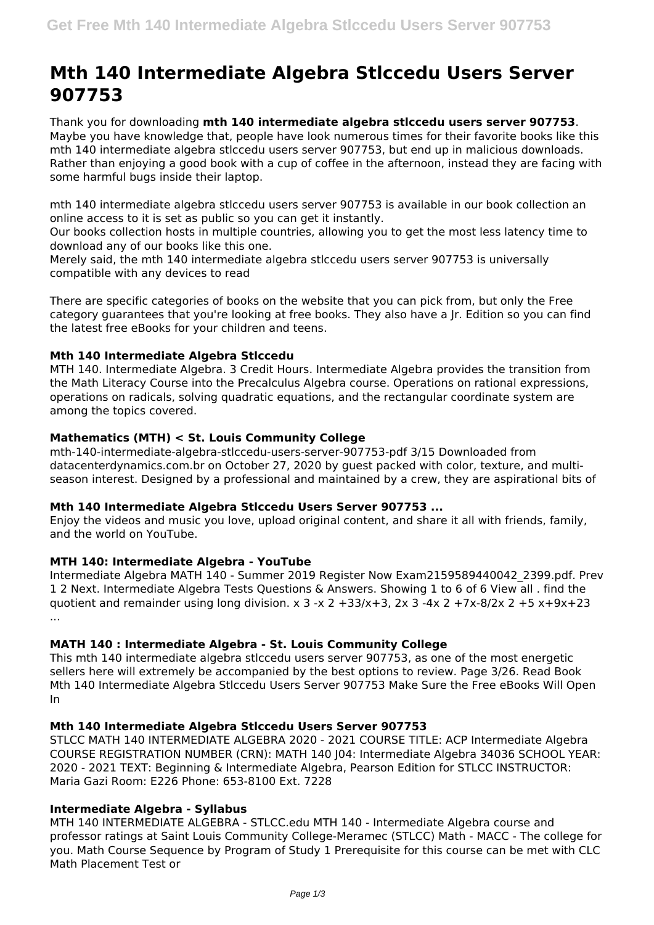# **Mth 140 Intermediate Algebra Stlccedu Users Server 907753**

Thank you for downloading **mth 140 intermediate algebra stlccedu users server 907753**. Maybe you have knowledge that, people have look numerous times for their favorite books like this mth 140 intermediate algebra stlccedu users server 907753, but end up in malicious downloads. Rather than enjoying a good book with a cup of coffee in the afternoon, instead they are facing with some harmful bugs inside their laptop.

mth 140 intermediate algebra stlccedu users server 907753 is available in our book collection an online access to it is set as public so you can get it instantly.

Our books collection hosts in multiple countries, allowing you to get the most less latency time to download any of our books like this one.

Merely said, the mth 140 intermediate algebra stlccedu users server 907753 is universally compatible with any devices to read

There are specific categories of books on the website that you can pick from, but only the Free category guarantees that you're looking at free books. They also have a Jr. Edition so you can find the latest free eBooks for your children and teens.

## **Mth 140 Intermediate Algebra Stlccedu**

MTH 140. Intermediate Algebra. 3 Credit Hours. Intermediate Algebra provides the transition from the Math Literacy Course into the Precalculus Algebra course. Operations on rational expressions, operations on radicals, solving quadratic equations, and the rectangular coordinate system are among the topics covered.

#### **Mathematics (MTH) < St. Louis Community College**

mth-140-intermediate-algebra-stlccedu-users-server-907753-pdf 3/15 Downloaded from datacenterdynamics.com.br on October 27, 2020 by guest packed with color, texture, and multiseason interest. Designed by a professional and maintained by a crew, they are aspirational bits of

#### **Mth 140 Intermediate Algebra Stlccedu Users Server 907753 ...**

Enjoy the videos and music you love, upload original content, and share it all with friends, family, and the world on YouTube.

## **MTH 140: Intermediate Algebra - YouTube**

Intermediate Algebra MATH 140 - Summer 2019 Register Now Exam2159589440042\_2399.pdf. Prev 1 2 Next. Intermediate Algebra Tests Questions & Answers. Showing 1 to 6 of 6 View all . find the quotient and remainder using long division.  $x$  3 -x 2 +33/x+3, 2x 3 -4x 2 +7x-8/2x 2 +5 x+9x+23 ...

## **MATH 140 : Intermediate Algebra - St. Louis Community College**

This mth 140 intermediate algebra stlccedu users server 907753, as one of the most energetic sellers here will extremely be accompanied by the best options to review. Page 3/26. Read Book Mth 140 Intermediate Algebra Stlccedu Users Server 907753 Make Sure the Free eBooks Will Open In

#### **Mth 140 Intermediate Algebra Stlccedu Users Server 907753**

STLCC MATH 140 INTERMEDIATE ALGEBRA 2020 - 2021 COURSE TITLE: ACP Intermediate Algebra COURSE REGISTRATION NUMBER (CRN): MATH 140 J04: Intermediate Algebra 34036 SCHOOL YEAR: 2020 - 2021 TEXT: Beginning & Intermediate Algebra, Pearson Edition for STLCC INSTRUCTOR: Maria Gazi Room: E226 Phone: 653-8100 Ext. 7228

## **Intermediate Algebra - Syllabus**

MTH 140 INTERMEDIATE ALGEBRA - STLCC.edu MTH 140 - Intermediate Algebra course and professor ratings at Saint Louis Community College-Meramec (STLCC) Math - MACC - The college for you. Math Course Sequence by Program of Study 1 Prerequisite for this course can be met with CLC Math Placement Test or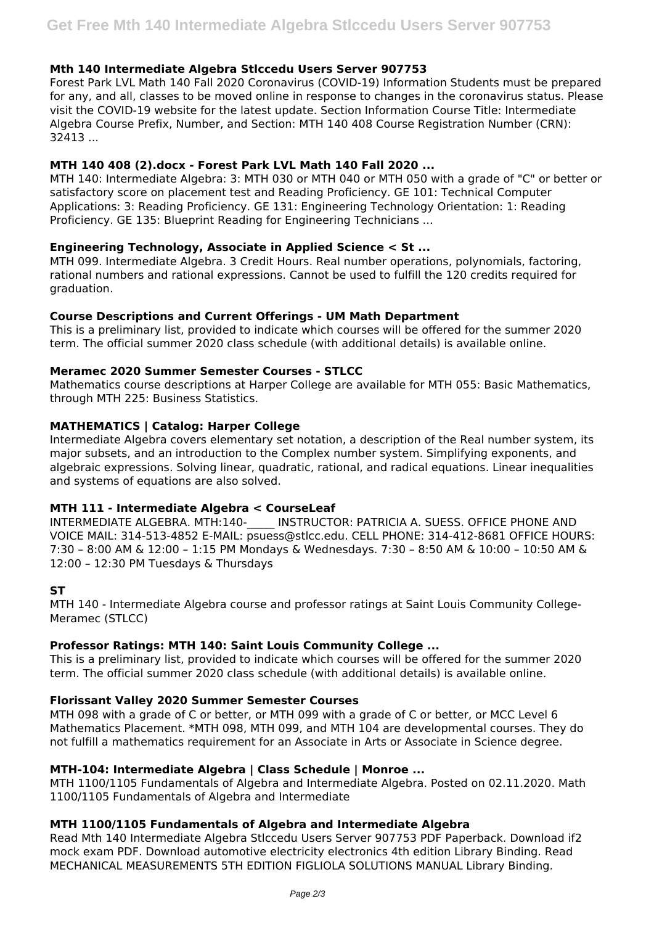## **Mth 140 Intermediate Algebra Stlccedu Users Server 907753**

Forest Park LVL Math 140 Fall 2020 Coronavirus (COVID-19) Information Students must be prepared for any, and all, classes to be moved online in response to changes in the coronavirus status. Please visit the COVID-19 website for the latest update. Section Information Course Title: Intermediate Algebra Course Prefix, Number, and Section: MTH 140 408 Course Registration Number (CRN): 32413 ...

## **MTH 140 408 (2).docx - Forest Park LVL Math 140 Fall 2020 ...**

MTH 140: Intermediate Algebra: 3: MTH 030 or MTH 040 or MTH 050 with a grade of "C" or better or satisfactory score on placement test and Reading Proficiency. GE 101: Technical Computer Applications: 3: Reading Proficiency. GE 131: Engineering Technology Orientation: 1: Reading Proficiency. GE 135: Blueprint Reading for Engineering Technicians ...

## **Engineering Technology, Associate in Applied Science < St ...**

MTH 099. Intermediate Algebra. 3 Credit Hours. Real number operations, polynomials, factoring, rational numbers and rational expressions. Cannot be used to fulfill the 120 credits required for graduation.

## **Course Descriptions and Current Offerings - UM Math Department**

This is a preliminary list, provided to indicate which courses will be offered for the summer 2020 term. The official summer 2020 class schedule (with additional details) is available online.

## **Meramec 2020 Summer Semester Courses - STLCC**

Mathematics course descriptions at Harper College are available for MTH 055: Basic Mathematics, through MTH 225: Business Statistics.

# **MATHEMATICS | Catalog: Harper College**

Intermediate Algebra covers elementary set notation, a description of the Real number system, its major subsets, and an introduction to the Complex number system. Simplifying exponents, and algebraic expressions. Solving linear, quadratic, rational, and radical equations. Linear inequalities and systems of equations are also solved.

## **MTH 111 - Intermediate Algebra < CourseLeaf**

INTERMEDIATE ALGEBRA. MTH:140- INSTRUCTOR: PATRICIA A. SUESS. OFFICE PHONE AND VOICE MAIL: 314-513-4852 E-MAIL: psuess@stlcc.edu. CELL PHONE: 314-412-8681 OFFICE HOURS: 7:30 – 8:00 AM & 12:00 – 1:15 PM Mondays & Wednesdays. 7:30 – 8:50 AM & 10:00 – 10:50 AM & 12:00 – 12:30 PM Tuesdays & Thursdays

## **ST**

MTH 140 - Intermediate Algebra course and professor ratings at Saint Louis Community College-Meramec (STLCC)

## **Professor Ratings: MTH 140: Saint Louis Community College ...**

This is a preliminary list, provided to indicate which courses will be offered for the summer 2020 term. The official summer 2020 class schedule (with additional details) is available online.

## **Florissant Valley 2020 Summer Semester Courses**

MTH 098 with a grade of C or better, or MTH 099 with a grade of C or better, or MCC Level 6 Mathematics Placement. \*MTH 098, MTH 099, and MTH 104 are developmental courses. They do not fulfill a mathematics requirement for an Associate in Arts or Associate in Science degree.

## **MTH-104: Intermediate Algebra | Class Schedule | Monroe ...**

MTH 1100/1105 Fundamentals of Algebra and Intermediate Algebra. Posted on 02.11.2020. Math 1100/1105 Fundamentals of Algebra and Intermediate

## **MTH 1100/1105 Fundamentals of Algebra and Intermediate Algebra**

Read Mth 140 Intermediate Algebra Stlccedu Users Server 907753 PDF Paperback. Download if2 mock exam PDF. Download automotive electricity electronics 4th edition Library Binding. Read MECHANICAL MEASUREMENTS 5TH EDITION FIGLIOLA SOLUTIONS MANUAL Library Binding.